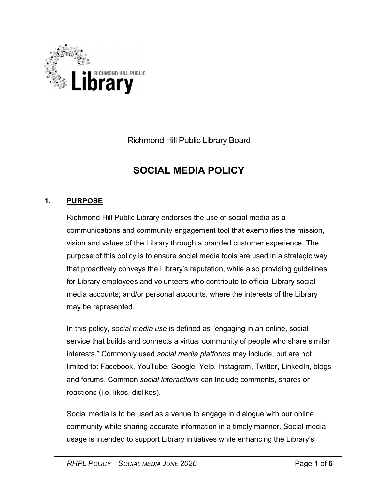

Richmond Hill Public Library Board

# SOCIAL MEDIA POLICY

# 1. PURPOSE

Richmond Hill Public Library endorses the use of social media as a communications and community engagement tool that exemplifies the mission, vision and values of the Library through a branded customer experience. The purpose of this policy is to ensure social media tools are used in a strategic way that proactively conveys the Library's reputation, while also providing guidelines for Library employees and volunteers who contribute to official Library social media accounts; and/or personal accounts, where the interests of the Library may be represented.

In this policy, social media use is defined as "engaging in an online, social service that builds and connects a virtual community of people who share similar interests." Commonly used social media platforms may include, but are not limited to: Facebook, YouTube, Google, Yelp, Instagram, Twitter, LinkedIn, blogs and forums. Common social interactions can include comments, shares or reactions (i.e. likes, dislikes).

Social media is to be used as a venue to engage in dialogue with our online community while sharing accurate information in a timely manner. Social media usage is intended to support Library initiatives while enhancing the Library's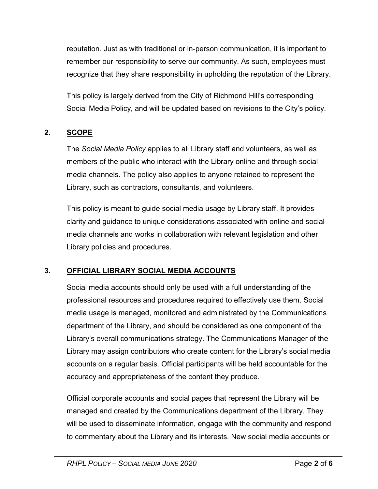reputation. Just as with traditional or in-person communication, it is important to remember our responsibility to serve our community. As such, employees must recognize that they share responsibility in upholding the reputation of the Library.

This policy is largely derived from the City of Richmond Hill's corresponding Social Media Policy, and will be updated based on revisions to the City's policy.

# 2. SCOPE

The Social Media Policy applies to all Library staff and volunteers, as well as members of the public who interact with the Library online and through social media channels. The policy also applies to anyone retained to represent the Library, such as contractors, consultants, and volunteers.

This policy is meant to guide social media usage by Library staff. It provides clarity and guidance to unique considerations associated with online and social media channels and works in collaboration with relevant legislation and other Library policies and procedures.

# 3. OFFICIAL LIBRARY SOCIAL MEDIA ACCOUNTS

Social media accounts should only be used with a full understanding of the professional resources and procedures required to effectively use them. Social media usage is managed, monitored and administrated by the Communications department of the Library, and should be considered as one component of the Library's overall communications strategy. The Communications Manager of the Library may assign contributors who create content for the Library's social media accounts on a regular basis. Official participants will be held accountable for the accuracy and appropriateness of the content they produce.

Official corporate accounts and social pages that represent the Library will be managed and created by the Communications department of the Library. They will be used to disseminate information, engage with the community and respond to commentary about the Library and its interests. New social media accounts or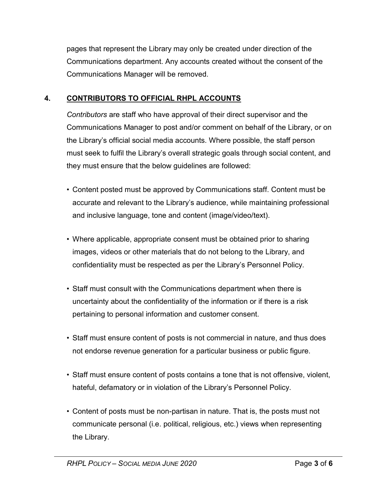pages that represent the Library may only be created under direction of the Communications department. Any accounts created without the consent of the Communications Manager will be removed.

# 4. CONTRIBUTORS TO OFFICIAL RHPL ACCOUNTS

Contributors are staff who have approval of their direct supervisor and the Communications Manager to post and/or comment on behalf of the Library, or on the Library's official social media accounts. Where possible, the staff person must seek to fulfil the Library's overall strategic goals through social content, and they must ensure that the below guidelines are followed:

- Content posted must be approved by Communications staff. Content must be accurate and relevant to the Library's audience, while maintaining professional and inclusive language, tone and content (image/video/text).
- Where applicable, appropriate consent must be obtained prior to sharing images, videos or other materials that do not belong to the Library, and confidentiality must be respected as per the Library's Personnel Policy.
- Staff must consult with the Communications department when there is uncertainty about the confidentiality of the information or if there is a risk pertaining to personal information and customer consent.
- Staff must ensure content of posts is not commercial in nature, and thus does not endorse revenue generation for a particular business or public figure.
- Staff must ensure content of posts contains a tone that is not offensive, violent, hateful, defamatory or in violation of the Library's Personnel Policy.
- Content of posts must be non-partisan in nature. That is, the posts must not communicate personal (i.e. political, religious, etc.) views when representing the Library.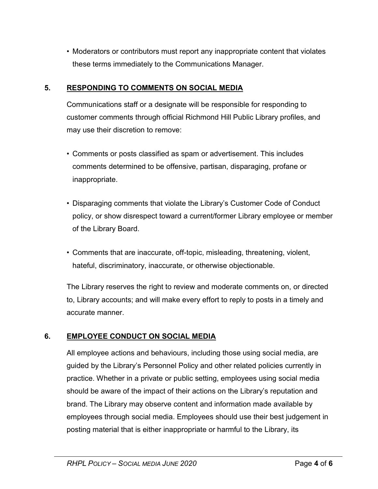• Moderators or contributors must report any inappropriate content that violates these terms immediately to the Communications Manager.

### 5. RESPONDING TO COMMENTS ON SOCIAL MEDIA

Communications staff or a designate will be responsible for responding to customer comments through official Richmond Hill Public Library profiles, and may use their discretion to remove:

- Comments or posts classified as spam or advertisement. This includes comments determined to be offensive, partisan, disparaging, profane or inappropriate.
- Disparaging comments that violate the Library's Customer Code of Conduct policy, or show disrespect toward a current/former Library employee or member of the Library Board.
- Comments that are inaccurate, off-topic, misleading, threatening, violent, hateful, discriminatory, inaccurate, or otherwise objectionable.

The Library reserves the right to review and moderate comments on, or directed to, Library accounts; and will make every effort to reply to posts in a timely and accurate manner.

#### 6. EMPLOYEE CONDUCT ON SOCIAL MEDIA

All employee actions and behaviours, including those using social media, are guided by the Library's Personnel Policy and other related policies currently in practice. Whether in a private or public setting, employees using social media should be aware of the impact of their actions on the Library's reputation and brand. The Library may observe content and information made available by employees through social media. Employees should use their best judgement in posting material that is either inappropriate or harmful to the Library, its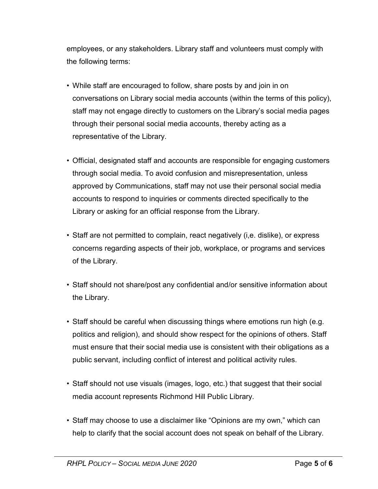employees, or any stakeholders. Library staff and volunteers must comply with the following terms:

- While staff are encouraged to follow, share posts by and join in on conversations on Library social media accounts (within the terms of this policy), staff may not engage directly to customers on the Library's social media pages through their personal social media accounts, thereby acting as a representative of the Library.
- Official, designated staff and accounts are responsible for engaging customers through social media. To avoid confusion and misrepresentation, unless approved by Communications, staff may not use their personal social media accounts to respond to inquiries or comments directed specifically to the Library or asking for an official response from the Library.
- Staff are not permitted to complain, react negatively (i,e. dislike), or express concerns regarding aspects of their job, workplace, or programs and services of the Library.
- Staff should not share/post any confidential and/or sensitive information about the Library.
- Staff should be careful when discussing things where emotions run high (e.g. politics and religion), and should show respect for the opinions of others. Staff must ensure that their social media use is consistent with their obligations as a public servant, including conflict of interest and political activity rules.
- Staff should not use visuals (images, logo, etc.) that suggest that their social media account represents Richmond Hill Public Library.
- Staff may choose to use a disclaimer like "Opinions are my own," which can help to clarify that the social account does not speak on behalf of the Library.